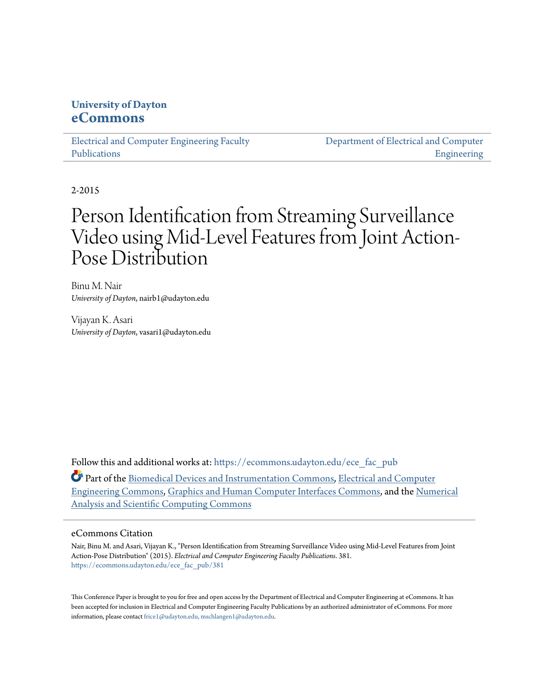# **University of Dayton [eCommons](https://ecommons.udayton.edu?utm_source=ecommons.udayton.edu%2Fece_fac_pub%2F381&utm_medium=PDF&utm_campaign=PDFCoverPages)**

[Electrical and Computer Engineering Faculty](https://ecommons.udayton.edu/ece_fac_pub?utm_source=ecommons.udayton.edu%2Fece_fac_pub%2F381&utm_medium=PDF&utm_campaign=PDFCoverPages) [Publications](https://ecommons.udayton.edu/ece_fac_pub?utm_source=ecommons.udayton.edu%2Fece_fac_pub%2F381&utm_medium=PDF&utm_campaign=PDFCoverPages)

[Department of Electrical and Computer](https://ecommons.udayton.edu/ece?utm_source=ecommons.udayton.edu%2Fece_fac_pub%2F381&utm_medium=PDF&utm_campaign=PDFCoverPages) [Engineering](https://ecommons.udayton.edu/ece?utm_source=ecommons.udayton.edu%2Fece_fac_pub%2F381&utm_medium=PDF&utm_campaign=PDFCoverPages)

2-2015

# Person Identification from Streaming Surveillance Video using Mid-Level Features from Joint Action-Pose Distribution

Binu M. Nair *University of Dayton*, nairb1@udayton.edu

Vijayan K. Asari *University of Dayton*, vasari1@udayton.edu

Follow this and additional works at: [https://ecommons.udayton.edu/ece\\_fac\\_pub](https://ecommons.udayton.edu/ece_fac_pub?utm_source=ecommons.udayton.edu%2Fece_fac_pub%2F381&utm_medium=PDF&utm_campaign=PDFCoverPages)

Part of the [Biomedical Devices and Instrumentation Commons,](http://network.bepress.com/hgg/discipline/235?utm_source=ecommons.udayton.edu%2Fece_fac_pub%2F381&utm_medium=PDF&utm_campaign=PDFCoverPages) [Electrical and Computer](http://network.bepress.com/hgg/discipline/266?utm_source=ecommons.udayton.edu%2Fece_fac_pub%2F381&utm_medium=PDF&utm_campaign=PDFCoverPages) [Engineering Commons,](http://network.bepress.com/hgg/discipline/266?utm_source=ecommons.udayton.edu%2Fece_fac_pub%2F381&utm_medium=PDF&utm_campaign=PDFCoverPages) [Graphics and Human Computer Interfaces Commons](http://network.bepress.com/hgg/discipline/146?utm_source=ecommons.udayton.edu%2Fece_fac_pub%2F381&utm_medium=PDF&utm_campaign=PDFCoverPages), and the [Numerical](http://network.bepress.com/hgg/discipline/147?utm_source=ecommons.udayton.edu%2Fece_fac_pub%2F381&utm_medium=PDF&utm_campaign=PDFCoverPages) [Analysis and Scientific Computing Commons](http://network.bepress.com/hgg/discipline/147?utm_source=ecommons.udayton.edu%2Fece_fac_pub%2F381&utm_medium=PDF&utm_campaign=PDFCoverPages)

## eCommons Citation

Nair, Binu M. and Asari, Vijayan K., "Person Identification from Streaming Surveillance Video using Mid-Level Features from Joint Action-Pose Distribution" (2015). *Electrical and Computer Engineering Faculty Publications*. 381. [https://ecommons.udayton.edu/ece\\_fac\\_pub/381](https://ecommons.udayton.edu/ece_fac_pub/381?utm_source=ecommons.udayton.edu%2Fece_fac_pub%2F381&utm_medium=PDF&utm_campaign=PDFCoverPages)

This Conference Paper is brought to you for free and open access by the Department of Electrical and Computer Engineering at eCommons. It has been accepted for inclusion in Electrical and Computer Engineering Faculty Publications by an authorized administrator of eCommons. For more information, please contact [frice1@udayton.edu, mschlangen1@udayton.edu.](mailto:frice1@udayton.edu,%20mschlangen1@udayton.edu)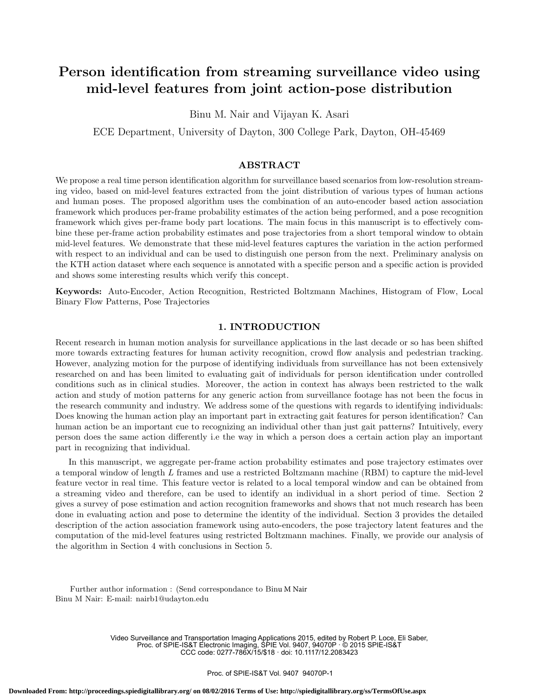# Person identification from streaming surveillance video using mid-level features from joint action-pose distribution

Binu M. Nair and Vijayan K. Asari

ECE Department, University of Dayton, 300 College Park, Dayton, OH-45469

### ABSTRACT

We propose a real time person identification algorithm for surveillance based scenarios from low-resolution streaming video, based on mid-level features extracted from the joint distribution of various types of human actions and human poses. The proposed algorithm uses the combination of an auto-encoder based action association framework which produces per-frame probability estimates of the action being performed, and a pose recognition framework which gives per-frame body part locations. The main focus in this manuscript is to effectively combine these per-frame action probability estimates and pose trajectories from a short temporal window to obtain mid-level features. We demonstrate that these mid-level features captures the variation in the action performed with respect to an individual and can be used to distinguish one person from the next. Preliminary analysis on the KTH action dataset where each sequence is annotated with a specific person and a specific action is provided and shows some interesting results which verify this concept.

Keywords: Auto-Encoder, Action Recognition, Restricted Boltzmann Machines, Histogram of Flow, Local Binary Flow Patterns, Pose Trajectories

#### 1. INTRODUCTION

Recent research in human motion analysis for surveillance applications in the last decade or so has been shifted more towards extracting features for human activity recognition, crowd flow analysis and pedestrian tracking. However, analyzing motion for the purpose of identifying individuals from surveillance has not been extensively researched on and has been limited to evaluating gait of individuals for person identification under controlled conditions such as in clinical studies. Moreover, the action in context has always been restricted to the walk action and study of motion patterns for any generic action from surveillance footage has not been the focus in the research community and industry. We address some of the questions with regards to identifying individuals: Does knowing the human action play an important part in extracting gait features for person identification? Can human action be an important cue to recognizing an individual other than just gait patterns? Intuitively, every person does the same action differently i.e the way in which a person does a certain action play an important part in recognizing that individual.

In this manuscript, we aggregate per-frame action probability estimates and pose trajectory estimates over a temporal window of length L frames and use a restricted Boltzmann machine (RBM) to capture the mid-level feature vector in real time. This feature vector is related to a local temporal window and can be obtained from a streaming video and therefore, can be used to identify an individual in a short period of time. Section 2 gives a survey of pose estimation and action recognition frameworks and shows that not much research has been done in evaluating action and pose to determine the identity of the individual. Section 3 provides the detailed description of the action association framework using auto-encoders, the pose trajectory latent features and the computation of the mid-level features using restricted Boltzmann machines. Finally, we provide our analysis of the algorithm in Section 4 with conclusions in Section 5.

Further author information : (Send correspondance to Binu M Nair Binu M Nair: E-mail: nairb1@udayton.edu

> Video Surveillance and Transportation Imaging Applications 2015, edited by Robert P. Loce, Eli Saber, Proc. of SPIE-IS&T Electronic Imaging, SPIE Vol. 9407, 94070P · © 2015 SPIE-IS&T CCC code: 0277-786X/15/\$18 · doi: 10.1117/12.2083423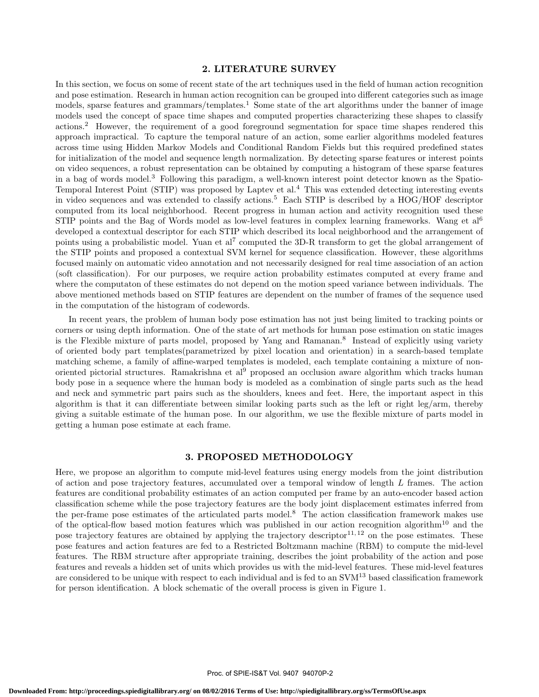#### 2. LITERATURE SURVEY

In this section, we focus on some of recent state of the art techniques used in the field of human action recognition and pose estimation. Research in human action recognition can be grouped into different categories such as image models, sparse features and grammars/templates.<sup>1</sup> Some state of the art algorithms under the banner of image models used the concept of space time shapes and computed properties characterizing these shapes to classify actions.<sup>2</sup> However, the requirement of a good foreground segmentation for space time shapes rendered this approach impractical. To capture the temporal nature of an action, some earlier algorithms modeled features across time using Hidden Markov Models and Conditional Random Fields but this required predefined states for initialization of the model and sequence length normalization. By detecting sparse features or interest points on video sequences, a robust representation can be obtained by computing a histogram of these sparse features in a bag of words model.<sup>3</sup> Following this paradigm, a well-known interest point detector known as the Spatio-Temporal Interest Point (STIP) was proposed by Laptev et al.<sup>4</sup> This was extended detecting interesting events in video sequences and was extended to classify actions.<sup>5</sup> Each STIP is described by a HOG/HOF descriptor computed from its local neighborhood. Recent progress in human action and activity recognition used these STIP points and the Bag of Words model as low-level features in complex learning frameworks. Wang et al<sup>6</sup> developed a contextual descriptor for each STIP which described its local neighborhood and the arrangement of points using a probabilistic model. Yuan et al<sup>7</sup> computed the 3D-R transform to get the global arrangement of the STIP points and proposed a contextual SVM kernel for sequence classification. However, these algorithms focused mainly on automatic video annotation and not necessarily designed for real time association of an action (soft classification). For our purposes, we require action probability estimates computed at every frame and where the computaton of these estimates do not depend on the motion speed variance between individuals. The above mentioned methods based on STIP features are dependent on the number of frames of the sequence used in the computation of the histogram of codewords.

In recent years, the problem of human body pose estimation has not just being limited to tracking points or corners or using depth information. One of the state of art methods for human pose estimation on static images is the Flexible mixture of parts model, proposed by Yang and Ramanan.<sup>8</sup> Instead of explicitly using variety of oriented body part templates(parametrized by pixel location and orientation) in a search-based template matching scheme, a family of affine-warped templates is modeled, each template containing a mixture of nonoriented pictorial structures. Ramakrishna et al<sup>9</sup> proposed an occlusion aware algorithm which tracks human body pose in a sequence where the human body is modeled as a combination of single parts such as the head and neck and symmetric part pairs such as the shoulders, knees and feet. Here, the important aspect in this algorithm is that it can differentiate between similar looking parts such as the left or right leg/arm, thereby giving a suitable estimate of the human pose. In our algorithm, we use the flexible mixture of parts model in getting a human pose estimate at each frame.

#### 3. PROPOSED METHODOLOGY

Here, we propose an algorithm to compute mid-level features using energy models from the joint distribution of action and pose trajectory features, accumulated over a temporal window of length L frames. The action features are conditional probability estimates of an action computed per frame by an auto-encoder based action classification scheme while the pose trajectory features are the body joint displacement estimates inferred from the per-frame pose estimates of the articulated parts model.<sup>8</sup> The action classification framework makes use of the optical-flow based motion features which was published in our action recognition algorithm<sup>10</sup> and the pose trajectory features are obtained by applying the trajectory descriptor<sup>11, 12</sup> on the pose estimates. These pose features and action features are fed to a Restricted Boltzmann machine (RBM) to compute the mid-level features. The RBM structure after appropriate training, describes the joint probability of the action and pose features and reveals a hidden set of units which provides us with the mid-level features. These mid-level features are considered to be unique with respect to each individual and is fed to an SVM<sup>13</sup> based classification framework for person identification. A block schematic of the overall process is given in Figure 1.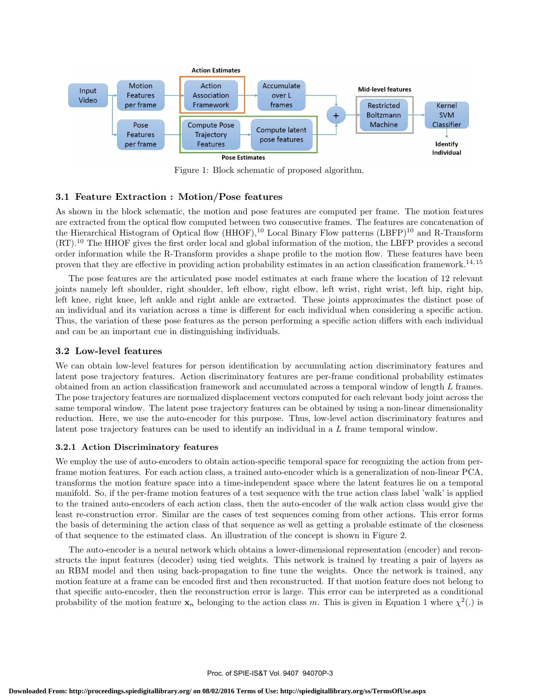

Figure 1: Block schematic of proposed algorithm.

### 3.1 Feature Extraction : Motion/Pose features

As shown in the block schematic, the motion and pose features are computed per frame. The motion features are extracted from the optical flow computed between two consecutive frames. The features are concatenation of the Hierarchical Histogram of Optical flow (HHOF),<sup>10</sup> Local Binary Flow patterns (LBFP)<sup>10</sup> and R-Transform (RT).<sup>10</sup> The HHOF gives the first order local and global information of the motion, the LBFP provides a second order information while the R-Transform provides a shape profile to the motion flow. These features have been proven that they are effective in providing action probability estimates in an action classification framework.<sup>14, 15</sup>

The pose features are the articulated pose model estimates at each frame where the location of 12 relevant joints namely left shoulder, right shoulder, left elbow, right elbow, left wrist, right wrist, left hip, right hip, left knee, right knee, left ankle and right ankle are extracted. These joints approximates the distinct pose of an individual and its variation across a time is different for each individual when considering a specific action. Thus, the variation of these pose features as the person performing a specific action differs with each individual and can be an important cue in distinguishing individuals.

## 3.2 Low-level features

We can obtain low-level features for person identification by accumulating action discriminatory features and latent pose trajectory features. Action discriminatory features are per-frame conditional probability estimates obtained from an action classification framework and accumulated across a temporal window of length L frames. The pose trajectory features are normalized displacement vectors computed for each relevant body joint across the same temporal window. The latent pose trajectory features can be obtained by using a non-linear dimensionality reduction. Here, we use the auto-encoder for this purpose. Thus, low-level action discriminatory features and latent pose trajectory features can be used to identify an individual in a L frame temporal window.

### 3.2.1 Action Discriminatory features

We employ the use of auto-encoders to obtain action-specific temporal space for recognizing the action from perframe motion features. For each action class, a trained auto-encoder which is a generalization of non-linear PCA, transforms the motion feature space into a time-independent space where the latent features lie on a temporal manifold. So, if the per-frame motion features of a test sequence with the true action class label 'walk' is applied to the trained auto-encoders of each action class, then the auto-encoder of the walk action class would give the least re-construction error. Similar are the cases of test sequences coming from other actions. This error forms the basis of determining the action class of that sequence as well as getting a probable estimate of the closeness of that sequence to the estimated class. An illustration of the concept is shown in Figure 2.

The auto-encoder is a neural network which obtains a lower-dimensional representation (encoder) and reconstructs the input features (decoder) using tied weights. This network is trained by treating a pair of layers as an RBM model and then using back-propagation to fine tune the weights. Once the network is trained, any motion feature at a frame can be encoded first and then reconstructed. If that motion feature does not belong to that specific auto-encoder, then the reconstruction error is large. This error can be interpreted as a conditional probability of the motion feature  $x_n$  belonging to the action class m. This is given in Equation 1 where  $\chi^2(.)$  is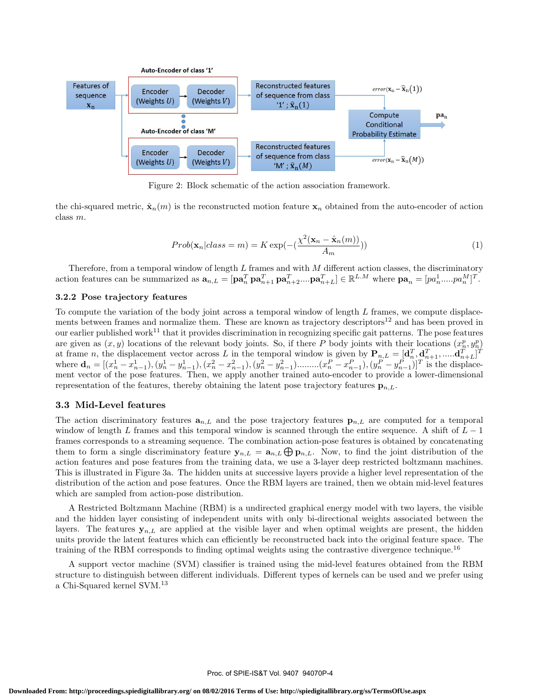

Figure 2: Block schematic of the action association framework.

the chi-squared metric,  $\hat{\mathbf{x}}_n(m)$  is the reconstructed motion feature  $\mathbf{x}_n$  obtained from the auto-encoder of action class m.

$$
Prob(\mathbf{x}_n|class = m) = K \exp(-\left(\frac{\chi^2(\mathbf{x}_n - \hat{\mathbf{x}}_n(m))}{A_m}\right))
$$
\n(1)

Therefore, from a temporal window of length  $L$  frames and with  $M$  different action classes, the discriminatory action features can be summarized as  $\mathbf{a}_{n,L} = [\mathbf{p}\mathbf{a}_n^T \ \mathbf{p}\mathbf{a}_{n+1}^T \ \mathbf{p}\mathbf{a}_{n+2}^T \dots \mathbf{p}\mathbf{a}_{n+L}^T] \in \mathbb{R}^{L \times M}$  where  $\mathbf{p}\mathbf{a}_n = [pa_n^1, \dots, pa_n^M]^T$ .

#### 3.2.2 Pose trajectory features

To compute the variation of the body joint across a temporal window of length L frames, we compute displacements between frames and normalize them. These are known as trajectory descriptors<sup>12</sup> and has been proved in our earlier published work<sup>11</sup> that it provides discrimination in recognizing specific gait patterns. The pose features are given as  $(x, y)$  locations of the relevant body joints. So, if there P body joints with their locations  $(x_n^p, y_n^p)$ at frame *n*, the displacement vector across L in the temporal window is given by  $P_{n,L} = [d_n^T, d_{n+1}^T, \dots, d_{n+L}^T]^T$ where  $\mathbf{d}_n = [(x_n^1 - x_{n-1}^1), (y_n^1 - y_{n-1}^1), (x_n^2 - x_{n-1}^2), (y_n^2 - y_{n-1}^2)$ ......... $(x_n^P - x_{n-1}^P), (y_n^P - y_{n-1}^P)]^T$  is the displacement vector of the pose features. Then, we apply another trained auto-encoder to provide a lower-dimensional representation of the features, thereby obtaining the latent pose trajectory features  $\mathbf{p}_{n,L}$ .

#### 3.3 Mid-Level features

The action discriminatory features  $a_{n,L}$  and the pose trajectory features  $p_{n,L}$  are computed for a temporal window of length L frames and this temporal window is scanned through the entire sequence. A shift of  $L - 1$ frames corresponds to a streaming sequence. The combination action-pose features is obtained by concatenating them to form a single discriminatory feature  $y_{n,L} = a_{n,L} \bigoplus p_{n,L}$ . Now, to find the joint distribution of the action features and pose features from the training data, we use a 3-layer deep restricted boltzmann machines. This is illustrated in Figure 3a. The hidden units at successive layers provide a higher level representation of the distribution of the action and pose features. Once the RBM layers are trained, then we obtain mid-level features which are sampled from action-pose distribution.

A Restricted Boltzmann Machine (RBM) is a undirected graphical energy model with two layers, the visible and the hidden layer consisting of independent units with only bi-directional weights associated between the layers. The features  $y_{n,L}$  are applied at the visible layer and when optimal weights are present, the hidden units provide the latent features which can efficiently be reconstructed back into the original feature space. The training of the RBM corresponds to finding optimal weights using the contrastive divergence technique.<sup>16</sup>

A support vector machine (SVM) classifier is trained using the mid-level features obtained from the RBM structure to distinguish between different individuals. Different types of kernels can be used and we prefer using a Chi-Squared kernel SVM.<sup>13</sup>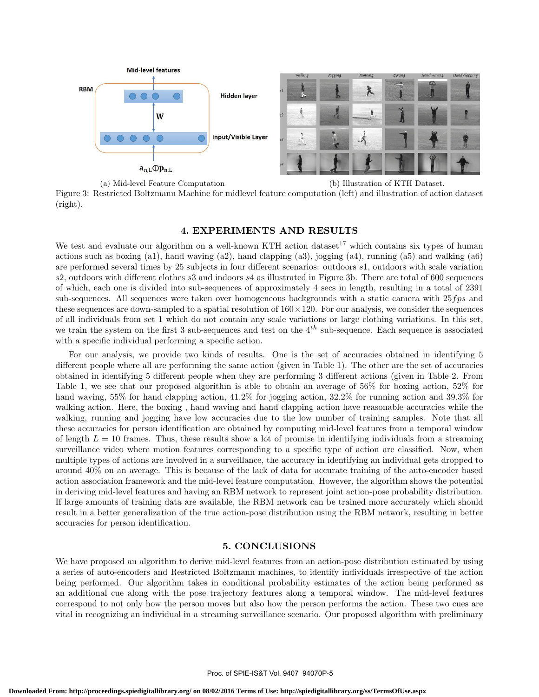

(a) Mid-level Feature Computation (b) Illustration of KTH Dataset.

Figure 3: Restricted Boltzmann Machine for midlevel feature computation (left) and illustration of action dataset (right).

#### 4. EXPERIMENTS AND RESULTS

We test and evaluate our algorithm on a well-known KTH action dataset<sup>17</sup> which contains six types of human actions such as boxing (a1), hand waving (a2), hand clapping (a3), jogging (a4), running (a5) and walking (a6) are performed several times by 25 subjects in four different scenarios: outdoors s1, outdoors with scale variation s2, outdoors with different clothes s3 and indoors s4 as illustrated in Figure 3b. There are total of 600 sequences of which, each one is divided into sub-sequences of approximately 4 secs in length, resulting in a total of 2391 sub-sequences. All sequences were taken over homogeneous backgrounds with a static camera with  $25fps$  and these sequences are down-sampled to a spatial resolution of  $160 \times 120$ . For our analysis, we consider the sequences of all individuals from set 1 which do not contain any scale variations or large clothing variations. In this set, we train the system on the first 3 sub-sequences and test on the  $4^{th}$  sub-sequence. Each sequence is associated with a specific individual performing a specific action.

For our analysis, we provide two kinds of results. One is the set of accuracies obtained in identifying 5 different people where all are performing the same action (given in Table 1). The other are the set of accuracies obtained in identifying 5 different people when they are performing 3 different actions (given in Table 2. From Table 1, we see that our proposed algorithm is able to obtain an average of 56% for boxing action, 52% for hand waving, 55% for hand clapping action, 41.2% for jogging action, 32.2% for running action and 39.3% for walking action. Here, the boxing , hand waving and hand clapping action have reasonable accuracies while the walking, running and jogging have low accuracies due to the low number of training samples. Note that all these accuracies for person identification are obtained by computing mid-level features from a temporal window of length  $L = 10$  frames. Thus, these results show a lot of promise in identifying individuals from a streaming surveillance video where motion features corresponding to a specific type of action are classified. Now, when multiple types of actions are involved in a surveillance, the accuracy in identifying an individual gets dropped to around 40% on an average. This is because of the lack of data for accurate training of the auto-encoder based action association framework and the mid-level feature computation. However, the algorithm shows the potential in deriving mid-level features and having an RBM network to represent joint action-pose probability distribution. If large amounts of training data are available, the RBM network can be trained more accurately which should result in a better generalization of the true action-pose distribution using the RBM network, resulting in better accuracies for person identification.

#### 5. CONCLUSIONS

We have proposed an algorithm to derive mid-level features from an action-pose distribution estimated by using a series of auto-encoders and Restricted Boltzmann machines, to identify individuals irrespective of the action being performed. Our algorithm takes in conditional probability estimates of the action being performed as an additional cue along with the pose trajectory features along a temporal window. The mid-level features correspond to not only how the person moves but also how the person performs the action. These two cues are vital in recognizing an individual in a streaming surveillance scenario. Our proposed algorithm with preliminary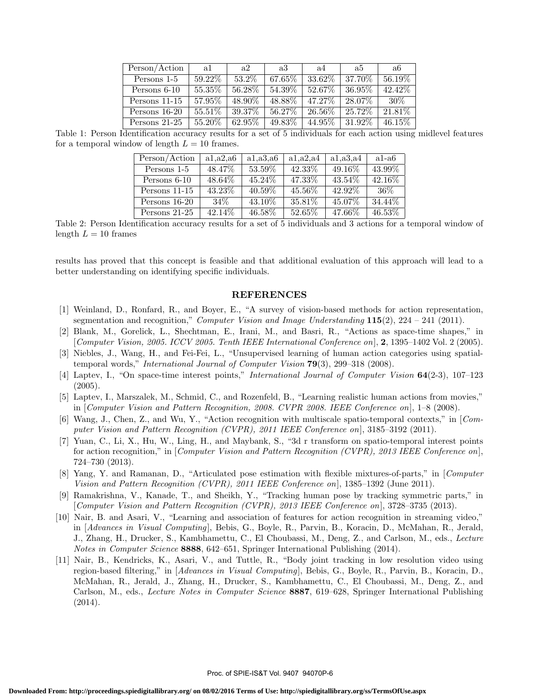| Person/Action   | a1      | a2     | aЗ     | a4      | a5      | aб     |
|-----------------|---------|--------|--------|---------|---------|--------|
| Persons 1-5     | 59.22%  | 53.2%  | 67.65% | 33.62\% | 37.70%  | 56.19% |
| Persons 6-10    | 55.35%  | 56.28% | 54.39% | 52.67%  | 36.95%  | 42.42% |
| Persons 11-15   | 57.95%  | 48.90% | 48.88% | 47.27\% | 28.07\% | $30\%$ |
| Persons $16-20$ | 55.51\% | 39.37% | 56.27% | 26.56\% | 25.72%  | 21.81% |
| Persons $21-25$ | 55.20%  | 62.95% | 49.83% | 44.95%  | 31.92%  | 46.15% |

Table 1: Person Identification accuracy results for a set of 5 individuals for each action using midlevel features for a temporal window of length  $L = 10$  frames.

| Person/Action   | a1,a2,a6 | a1, a3, a6 | a1,a2,a4 | a1.a3.a4 | $a1-a6$ |
|-----------------|----------|------------|----------|----------|---------|
| Persons 1-5     | 48.47%   | 53.59%     | 42.33%   | 49.16%   | 43.99%  |
| Persons 6-10    | 48.64\%  | 45.24%     | 47.33%   | 43.54%   | 42.16%  |
| Persons 11-15   | 43.23%   | 40.59%     | 45.56%   | 42.92%   | $36\%$  |
| Persons $16-20$ | 34\%     | 43.10\%    | 35.81\%  | 45.07%   | 34.44%  |
| Persons 21-25   | 42.14\%  | 46.58%     | 52.65%   | 47.66%   | 46.53%  |

Table 2: Person Identification accuracy results for a set of 5 individuals and 3 actions for a temporal window of length  $L = 10$  frames

results has proved that this concept is feasible and that additional evaluation of this approach will lead to a better understanding on identifying specific individuals.

#### REFERENCES

- [1] Weinland, D., Ronfard, R., and Boyer, E., "A survey of vision-based methods for action representation, segmentation and recognition," Computer Vision and Image Understanding  $115(2)$ ,  $224 - 241$  (2011).
- [2] Blank, M., Gorelick, L., Shechtman, E., Irani, M., and Basri, R., "Actions as space-time shapes," in [Computer Vision, 2005. ICCV 2005. Tenth IEEE International Conference on], 2, 1395–1402 Vol. 2 (2005).
- [3] Niebles, J., Wang, H., and Fei-Fei, L., "Unsupervised learning of human action categories using spatialtemporal words," International Journal of Computer Vision 79(3), 299–318 (2008).
- [4] Laptev, I., "On space-time interest points," International Journal of Computer Vision 64(2-3), 107–123 (2005).
- [5] Laptev, I., Marszalek, M., Schmid, C., and Rozenfeld, B., "Learning realistic human actions from movies," in [Computer Vision and Pattern Recognition, 2008. CVPR 2008. IEEE Conference on], 1–8 (2008).
- [6] Wang, J., Chen, Z., and Wu, Y., "Action recognition with multiscale spatio-temporal contexts," in [Computer Vision and Pattern Recognition (CVPR), 2011 IEEE Conference on], 3185–3192 (2011).
- [7] Yuan, C., Li, X., Hu, W., Ling, H., and Maybank, S., "3d r transform on spatio-temporal interest points for action recognition," in [Computer Vision and Pattern Recognition (CVPR), 2013 IEEE Conference on], 724–730 (2013).
- [8] Yang, Y. and Ramanan, D., "Articulated pose estimation with flexible mixtures-of-parts," in [Computer Vision and Pattern Recognition (CVPR), 2011 IEEE Conference on], 1385–1392 (June 2011).
- [9] Ramakrishna, V., Kanade, T., and Sheikh, Y., "Tracking human pose by tracking symmetric parts," in [Computer Vision and Pattern Recognition (CVPR), 2013 IEEE Conference on], 3728–3735 (2013).
- [10] Nair, B. and Asari, V., "Learning and association of features for action recognition in streaming video," in [Advances in Visual Computing], Bebis, G., Boyle, R., Parvin, B., Koracin, D., McMahan, R., Jerald, J., Zhang, H., Drucker, S., Kambhamettu, C., El Choubassi, M., Deng, Z., and Carlson, M., eds., Lecture Notes in Computer Science 8888, 642–651, Springer International Publishing (2014).
- [11] Nair, B., Kendricks, K., Asari, V., and Tuttle, R., "Body joint tracking in low resolution video using region-based filtering," in [Advances in Visual Computing], Bebis, G., Boyle, R., Parvin, B., Koracin, D., McMahan, R., Jerald, J., Zhang, H., Drucker, S., Kambhamettu, C., El Choubassi, M., Deng, Z., and Carlson, M., eds., Lecture Notes in Computer Science 8887, 619–628, Springer International Publishing (2014).